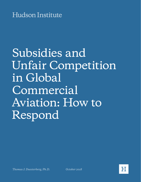**Hudson Institute** 

# Subsidies and Unfair Competition in Global Commercial Aviation: How to Respond

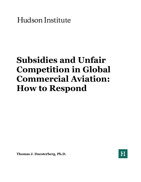Hudson Institute

# **Subsidies and Unfair Competition in Global Commercial Aviation: How to Respond**

**Thomas J. Duesterberg, Ph.D.**

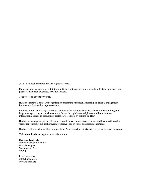© 2018 Hudson Institute, Inc. All rights reserved.

For more information about obtaining additional copies of this or other Hudson Institute publications, please visit Hudson's website, www.hudson.org.

#### ABOUT HUDSON INSTITUTE

Hudson Institute is a research organization promoting American leadership and global engagement for a secure, free, and prosperous future.

Founded in 1961 by strategist Herman Kahn, Hudson Institute challenges conventional thinking and helps manage strategic transitions to the future through interdisciplinary studies in defense, international relations, economics, health care, technology, culture, and law.

Hudson seeks to guide public policy makers and global leaders in government and business through a vigorous program of publications, conferences,policy briefings and recommendations.

Hudson Institute acknowledges support from Americans for Fair Skies in the preparation of this report.

Visit **[www.hudson.org](http://www.hudson.org/)** for more information.

#### **Hudson Institute**

1201Pennsylvania Avenue, N.W. Suite 400 Washington,D.C. 20004

P: 202.974.2400 [info@hudson.org](mailto:info@hudson.org) [www.hudson.org](http://www.hudson.org/)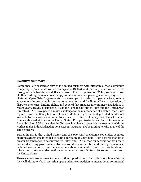#### **Executive Summary**

Commercial air passenger service is a mixed business with privately owned companies competing against state-owned enterprises (SOEs) and partially state-owned firms throughout much of the world. Because World Trade Organization (WTO) rules and those of other trade agreements do not apply to international air passenger service, a system of bilateral "Open Skies" agreements has developed in order to open markets, reduce government interference in international aviation, and facilitate efficient resolution of disputes over rates, landing rights, and general fair practices for commercial aviation. In recent years, heavily subsidized SOEs in the Persian Gulf states Qatar and the United Arab Emirates (UAE) have posed a major challenge to the maintenance of a stable Open Skies regime, however. Using tens of billions of dollars in government-provided capital not available to their overseas competitors, these SOEs have taken significant market share from established airlines in the United States, Europe, Australia, and India, for example. And subsidized SOE air carriers in China—which has no open skies agreements with the world's major industrialized nations except Australia—are beginning to raise many of the same concerns.

Earlier in 2018, the United States and the two Gulf sheikdoms concluded separate bilateral agreements intended to begin addressing this problem. Both accords mandated greater transparency in accounting by Qatari and UAE-owned air carriers so that unfair, market-distorting government subsidies would be more visible, and each agreement also included concessions from the sheikdoms about a related irritant: the proliferation of third-country stopover destinations on otherwise direct Gulf-carrier routes to and from the United States.

These accords are too new for any confident prediction to be made about how effective they will ultimately be in restoring open and fair competition to international commercial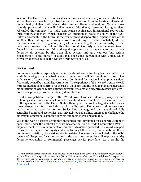aviation. The United States—and its allies in Europe and Asia, many of whose established airlines have also been hurt by subsidized SOE competition from the Persian Gulf—should remain highly vigilant until relevant data can be collected and analyzed. Qatar Airlines recently purchased the small Italian carrier Meridiana, restocked its aging fleet, rebranded the company "Air Italy," and began opening new international routes with third-country stopovers—which suggests an intention to evade the spirit of the U.S.- Qatari agreement. In the future, if the results prove disappointing, expanded use of the WTO or other trade agreements may be worth considering as a further tool to help address the problem of SOEs in general, not just those affecting the airline industry. In the meantime, however, the U.S. and its allies should vigorously pursue the guarantees of financial transparency and fair and equal opportunity to compete accorded to their domestic air carriers by the open skies system—and give cautious but serious consideration to the pursuit of additional open skies agreements with China, which currently operates outside the system's framework of rules.

## **Background**

Commercial aviation, especially in the international arena, has long been an outlier in a world increasingly characterized by open competition and lightly regulated markets. The early years of the airline industry were dominated by national champion carriers, frequently owned by national governments. The experience of the two 20<sup>th</sup> Century world wars resulted in tight control over the use of air space, and the need to plan for emergency mobilizations provided major national governments a strong incentive to keep air fleets even those privately owned—in strictly domestic hands.

Broader competition emerged after World War Two, as widening prosperity and technological advances in the jet era led to greater demand and lower costs for air travel. In the 1970s and 1980s the United States, then by far the world's largest market for air travel, deregulated its airline industry. As the European Union grew and became more market oriented, and the former Soviet bloc disintegrated and abandoned fully centralized command economies, new privately-owned airlines emerged to challenge the old system of national champion carriers and meet increasing demand.

Yet as the world's largest economies integrated and developed an elaborate system of open trade under the umbrella of what became the World Trade Organization (WTO), major elements of the older model for commercial aviation persisted. This was due in part to issues of air-space sovereignty and a continuing felt need to preserve national fleets. Commercial aviation, like most service industries, has never been included in the WTO system of disciplines for cross-border trade, and most countries still require majority domestic ownership of commercial passenger service providers.[1](#page-4-0) As a result, the

<span id="page-4-0"></span><sup>1</sup> Certain service-sector industries—like finance—have indeed been covered by important recent regional accords like the Transpacific Partnership (TPP). TPP also included specific disciplines for express air delivery services but continued to exclude coverage of commercial passenger aviation altogether. See Chapter 10 of the TPP text at [https://ustr.gov/sites/default/files/TPP-Final-Text-Cross-Border-Trade-in-](https://ustr.gov/sites/default/files/TPP-Final-Text-Cross-Border-Trade-in-Services.pdf)[Services.pdf](https://ustr.gov/sites/default/files/TPP-Final-Text-Cross-Border-Trade-in-Services.pdf)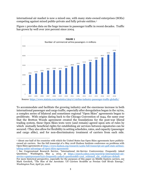international air market is now a mixed one, with many state-owned enterprises (SOEs) competing against mixed public-private and fully private entities.[2](#page-5-0)

Figure 1 provides data on the huge increase in passenger traffic in recent decades. Traffic has grown by well over 200 percent since 2004.



To accommodate and facilitate the growing industry and the enormous increase in both international passenger and cargo traffic, especially after deregulation began in the 1970s, a complex series of bilateral and sometimes regional "Open Skies" agreements began to proliferate. With origins dating back to the Chicago Convention of 1944, the same year that the Bretton Woods agreement created the foundations for the post-war liberal trading system, these Open Skies texts were (and remain) agreed upon sets of rules by which mutually beneficial rights for establishing air services between signatories can be secured.[3](#page-5-1) They also allow for flexibility in setting schedules, rates, and capacity (passenger and cargo alike), and for non-discriminatory treatment of carriers from each side.

<span id="page-5-0"></span><sup>2</sup> About one-half of the countries with which the United States has Open Skies agreements have publiclyowned air carriers. See the full transcript of a May 2018 Hudson Institute conference on problems with Open Skies agreements at [https://www.hudson.org/research/14362-full-transcript-are-gulf-state-airlines](https://www.hudson.org/research/14362-full-transcript-are-gulf-state-airlines-taking-unfair-advantage-of-open-skies-agreements)[taking-unfair-advantage-of-open-skies-agreements](https://www.hudson.org/research/14362-full-transcript-are-gulf-state-airlines-taking-unfair-advantage-of-open-skies-agreements)

<span id="page-5-1"></span><sup>3</sup> See Congressional Research Service, "International Air-Service Controversies: Frequently Asked Questions," Washington, May 4, 2015, at [https://search.yahoo.com/search?p=international+air](https://search.yahoo.com/search?p=international+air-service+cpmtrpversoes%3A+frequently+asked+questions&fr=yset_widemail_chr_win&type=default)[service+cpmtrpversoes%3A+frequently+asked+questions&fr=yset\\_widemail\\_chr\\_win&type=default.](https://search.yahoo.com/search?p=international+air-service+cpmtrpversoes%3A+frequently+asked+questions&fr=yset_widemail_chr_win&type=default) 

For more historical perspective, especially for the purposes of this paper on Middle Eastern carriers, see Mark Gerchick, "The Rise of the Aerostate: US Carriers Scrabble as Persian Gulf Rivals Emerge," *Washington Post,* April 30, 2016.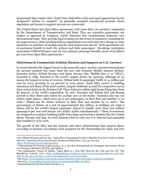Importantly they require that: "Each Party shall allow a fair and equal opportunity for the designated airlines to compete" on generally accepted commercial grounds where regulation and access to support services are concerned.

The United States has Open Skies agreements with more than 120 partners, negotiated by the Departments of Transportation and State. They are executive agreements not subject to approval by Congress, which otherwise has constitutional authority over international trade. They provide legal certainty for the terms of commerce, including for air cargo services, while avoiding tedious negotiations over each and every change in route structures or numbers of landing slots for each airport pair served. Such agreements are of enormous benefit to both the airlines and their passengers. Brookings Institution economists Clifford Winston and Jia Yan estimate passenger benefits alone of \$4 billion per year from Open Skies agreements.[4](#page-6-0)

### **Distortions in Commercial Aviation Markets and Impacts on U.S. Carriers**

In recent decades the biggest threat to the generally open, market-oriented international air services markets has come from the new and dynamic Middle Eastern airlines: Emirates Airline, Etihad Airways, and Qatar Airways (the "Middle East 3" or "ME3"). Founded in 1985, Emirates is the world's largest airline *by capacity*, although by no means the largest in terms of *revenue*. Etihad built its passenger traffic to 14 million per year by 2014, growing by 24 percent in 2014 alone.[5](#page-6-1) Each ME3 carrier is building enormous new fleets of the most modern, largely widebody aircraft for competitive use in their central hubs on the Persian Gulf. These hubs are within eight hours flying time from 80 percent of the world's population. By 2017 Emirates and Etihad had 228 Boeing aircraft in their fleets and orders for another 300 on the books.<sup>[6](#page-6-2)</sup> Emirates also has 101 Airbus A380 planes, which carry up to 500 passengers, in their fleet and another 77 on order.[7](#page-6-3) Etihad has 66 Airbus airliners in their fleet and another 62 or order.[8](#page-6-4) The government of Dubai—at a cost of approximately \$32 billion—is building out what it claims will be the world's largest passenger airport to handle more than 200 million passengers per year and service 100 Airbus A380s simultaneously[.9](#page-6-5) These investments are designed to continue building traffic from large and lucrative markets like the United States, Europe, and Asia. In 2006 Emirates flew to only one U.S. hub but had expanded that number to 13 by 2016.

The growth of the ME3 and the airports and other infrastructure that support them, according to forensic accounting work prepared for the Partnership for Open and Fair

<span id="page-6-0"></span><sup>4</sup> See Clifford Winston and Jia Yan, "Open Skies: Estimating Travelers' Benefits from Free Trade in Airline Services," *American Economic Journal: Economic Policy 2015,* 7(2), pp. 370-414. <http://dx.doi.org/10.1257/pol.20130071>

<span id="page-6-1"></span><sup>5</sup> "International Air Services Controversies," p. 3. See also International Air Transport Association, *World* 

<span id="page-6-2"></span><sup>&</sup>lt;sup>6</sup> See Ambassador Yousef Al Otaiba, "Open Skies is a Win-Win Deal for the UAE and the US," Pak Republican Council, 2017. [https://pakrepublican.wordpress.com/2017/11/02/open-skies-is-a-win-win](https://pakrepublican.wordpress.com/2017/11/02/open-skies-is-a-win-win-deal-for-the-uae-and-the-u-s-op-ed-by-ambassador-yousef-al-otaiba/)[deal-for-the-uae-and-the-u-s-op-ed-by-ambassador-yousef-al-otaiba/](https://pakrepublican.wordpress.com/2017/11/02/open-skies-is-a-win-win-deal-for-the-uae-and-the-u-s-op-ed-by-ambassador-yousef-al-otaiba/)

<span id="page-6-3"></span><sup>7</sup> See [https://www.emirates.com/media-centre/emirates-orders-36-a380s-worth-us-16-billion#](https://www.emirates.com/media-centre/emirates-orders-36-a380s-worth-us-16-billion)

<span id="page-6-4"></span><sup>8</sup> See<https://www.etihad.com/en/about-us/corporate-profile/our-fleet/>

<span id="page-6-5"></span><sup>9</sup> International Air Services Controversies, p. 3.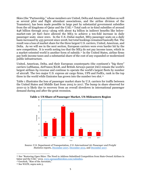Skies (the "Partnership," whose members are United, Delta and American Airlines as well as several pilot and flight attendant associations, and the airline division of the Teamsters), has been made possible in large part by substantial government subsidies from the oil kingdoms of Qatar and the UAE.[10](#page-7-0) Total cash or in-kind subsidies of around \$48 billion through 2015—along with about \$4 billion in indirect benefits like belowmarket-rate jet fuel—have allowed the ME3 to achieve a ten-fold increase in daily passenger seats since 2001. In the U.S.-Dubai market, ME3 passenger seats on a daily basis increased by 435 percent since 2008, but total bookings remained basically flat. The result was a loss of market share for the three largest U.S. carriers, United, American, and Delta. As we will see in the next section, European carriers were even harder hit by the new competition. It is worth noting too that the ME3 do not pay income taxes, which in a market-oriented world is another form of subsidy.[11](#page-7-1) In the United States, airline firms pay both income taxes and a substantial share of the cost of any expanded or modernized public infrastructure.

United, American, Delta, and their European counterparts (the continent's "big three" carriers Lufthansa, AirFrance/KLM, and British Airways parent IAG) remain the world's largest airlines *by revenue* and continue to operate the world's largest fleets by number of aircraft. The two major U.S. express air cargo firms, UPS and FedEx, rank in the top three in the world while Emirates has grown into the number two slot.[12](#page-7-2)

Table 1 illustrates the loss of passenger market share by U.S. carriers for traffic between the United States and Middle East from 2005 to 2017. The bump in share observed for 2010-12 is likely due to recovery from an overall slowdown in international passenger demand during and after the great recession.



**Table 1: US Share of Passenger Market, US-Mideastern Region**

Source: U.S. Department of Transportation, *U.S. International Air Passenger and Freight Statistics* reports, [December 2007,](https://www.transportation.gov/sites/dot.gov/files/docs/US%20International%20Air%20Passenger%20and%20Freight%20Statistics%20Report%20for%20December%202007.pdf) [December 2012,](https://www.transportation.gov/sites/dot.dev/files/docs/US%20International%20Air%20Passenger%20and%20Freight%20Statistics%20Report%20for%20Dec%202012.pdf) and [December 2017.](https://www.transportation.gov/sites/dot.gov/files/docs/mission/office-policy/aviation-policy/311371/us-international-air-passenger-and-freight-statistics-december-2017_0.pdf)

<span id="page-7-0"></span><sup>10</sup> See "Restoring Open Skies: The Need to Address Subsidized Competition from State-Owned Airlines in Qatar and the UAE," 2015[. www.openandfairskies.com/subsidies.](http://www.openandfairskies.com/subsidies)<br><sup>11</sup> Gerchick, "Rise of the Aerostate,"

<span id="page-7-2"></span><span id="page-7-1"></span><sup>12</sup> See WATS, supra note 5.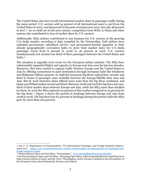The United States also lost overall international market share in passenger traffic during the same period. U.S. carriers sold 54 percent of all international seats to and from the United States in 2007, and 58 percent in the post-recession year 2012, but only 48 percent in 2017.[13](#page-8-0) As we shall see in the next section, competition from SOEs in China and other nations also contributed to loss of market share by U.S. carriers.

Additionally, ME3 airlines contributed to lost business for U.S. carriers in the growing U.S.-India market, according to data compiled by the Partnership. Gulf airlines have exploited government subsidized service—and government-funded upgrades to their already geographically convenient hubs—to grow their market share for U.S.-India passenger travel from 8 percent in 2008 to 46 percent in 2016. U.S. carriers simultaneously lost around one-third of their passengers between the United States and India.[14](#page-8-1)

The situation is arguably even worse for the European airline industry. The ME3 have substantially expanded flights and capacity to Europe and Asia over the last two decades. Moreover, they have started to capture traffic between Europe and the United States to Asia by offering connections to each destination through European hubs like Heathrow and Malpensa (Milan) airports. In 1998 the European big three ranked first, second, and third in terms of passenger seats available between the Europe/Middle East zone and Asia. But by 2016 Emirates alone offered more seats than the big three combined, and Qatar and Etihad ranked second and third. Between 2008 and 2016 the big three lost onethird of their market share between Europe and Asia, while the ME3 more than doubled its share. In 2016 the ME3 captured 29 percent of this market compared to 25 percent for the big three.[15](#page-8-2) Figure 2 shows the growth in bookings between Europe and Asia from 2008 to 2018. The big three lost 8.5 percent in bookings during this period while the ME3 grew by more than 200 percent.

<span id="page-8-1"></span>

<span id="page-8-0"></span><sup>13</sup> See U. S. Department of Transportation, "US International Passenger and Freight Statistics Report," 2005-2017. [https://www.transportation.gov/policy/aviation-policy/us-international-air-passenger-and](https://www.transportation.gov/policy/aviation-policy/us-international-air-passenger-and-freight-statistics-report)[freight-statistics-report](https://www.transportation.gov/policy/aviation-policy/us-international-air-passenger-and-freight-statistics-report)<br><sup>14</sup> Partnership for Open and Fair Skies, "Presentation," www.openandfairskies.com/subsidies

<span id="page-8-2"></span><sup>&</sup>lt;sup>15</sup> See Partnership for Open and Fair Skies, "Restoring Open Skies: Addressing Subsidized Competition from State-Owned Airlines in Qatar and the UAE," (Washington, 2018). Europe is defined as the 28 members of the European Union plus Switzerland, Norway and Iceland.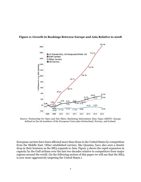

#### **Figure 2: Growth in Bookings Between Europe and Asia Relative to 2008**

Source: Partnership for Open and Fair Skies; Marketing Information Data Tapes (MIDT). Europe defined as the 28 members of the European Union plus Switzerland, Norway, and Iceland.

European carriers have been affected more than those in the United States by competition from the Middle East. Other established carriers, like Quantas, have also seen a drastic drop in their business as the ME3 expands to Asia. Figure 3 shows the rapid expansion in capacity by the Gulf airlines over the last two decades relative to competitors from major regions around the world. (In the following section of this paper we will see that the ME3 is now more aggressively targeting the United States.)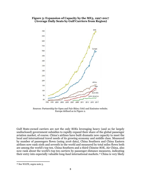#### **Figure 3: Expansion of Capacity by the ME3, 1997-2017 (Average Daily Seats by Gulf Carriers from Region)**



Sources: Partnership for Open and Fair Skies; OAG and Emirates website. Europe defined as in Figure 2.

Gulf State-owned carriers are not the only SOEs leveraging heavy (and so far largely undisclosed) government subsidies to rapidly expand their share of the global passenger aviation market, of course. China's airlines have built dramatic new capacity to meet the local and international travel needs of its growing economy and middle class. Measured by number of passengers flown (using 2016 data), China Southern and China Eastern airlines now rank sixth and seventh in the world and measured by total miles flown both are among the world's top ten. China Southern and a third Chinese SOE, Air China, also now rank about the world's top ten carriers by passenger-distance measures, indicating their entry into especially valuable long-haul international markets.[16](#page-10-0) China is very likely

<span id="page-10-0"></span><sup>16</sup> See WATS, supra note 5.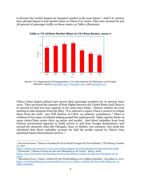to become the world's largest air transport market in the near future.[17](#page-11-0) And U.S. carriers have already begun to lose market share on China-U.S. routes. They now account for just 38 percent of passenger traffic on these routes, as Table 2 illustrates.



**Table 2: US Airlines Market Share in US-China Routes, 2005-17**

China's three largest airlines have grown their passenger numbers by 70 percent since 2010. They increased the capacity of their flights between the United States and China to 61 percent of total two-way capacity in the same time frame. Chinese airlines are even starting to take business from the ME3. "It is natural to expect China's carriers to eclipse those from the Gulf," says Will Horton of CAPA, an industry consultancy.[18](#page-11-1) There is evidence of two types of subsidy helping propel this rapid growth. Tight capacity limits on many intra-China routes drive up prices and profits. And direct subsidies from local Chinese government agencies to build service to and from foreign destinations—and second-tier domestic cities like Chengdu, Xian, or Harbin—are common. One study has calculated that direct subsidies account for half the profits earned by China's four mainland-based international carriers.[19](#page-11-2)

Source: U.S. Department of Transportation, *U.S. International Air Passenger and Freight Statistics* reports, [December 2007,](https://www.transportation.gov/sites/dot.gov/files/docs/US%20International%20Air%20Passenger%20and%20Freight%20Statistics%20Report%20for%20December%202007.pdf) [December 2012,](https://www.transportation.gov/sites/dot.dev/files/docs/US%20International%20Air%20Passenger%20and%20Freight%20Statistics%20Report%20for%20Dec%202012.pdf) and [December 2017.](https://www.transportation.gov/sites/dot.gov/files/docs/mission/office-policy/aviation-policy/311371/us-international-air-passenger-and-freight-statistics-december-2017_0.pdf)

<span id="page-11-0"></span><sup>17</sup> See Jon Ostrower, "China to Overtake the US as World's Largest Air Travel Market," *CNN Money,* October 27, 2017.

<span id="page-11-1"></span><https://money.cnn.com/2017/10/27/news/china-biggest-air-travel-market-iata-forecast/index.html> <sup>18</sup> *Economist,* "Chinese Carriers are the new Disrupters in Air Travel," April 5, 2018. [https://www.economist.com/business/2018/04/05/chinese-carriers-are-the-new-disrupters-in-air](https://www.economist.com/business/2018/04/05/chinese-carriers-are-the-new-disrupters-in-air-travel)[travel](https://www.economist.com/business/2018/04/05/chinese-carriers-are-the-new-disrupters-in-air-travel)

<span id="page-11-2"></span><sup>19</sup> Bloomberg News**,** "China's Airlines Fly the World Riding on \$1.3 Billion Subsidies," December 21, 2017. [https://www.bloomberg.com/news/articles/2017-12-21/china-s-airlines-fly-the-world-riding-on-1-3](https://www.bloomberg.com/news/articles/2017-12-21/china-s-airlines-fly-the-world-riding-on-1-3-billion-subsidies) [billion-subsidies](https://www.bloomberg.com/news/articles/2017-12-21/china-s-airlines-fly-the-world-riding-on-1-3-billion-subsidies)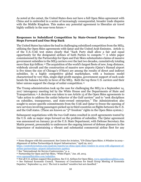As noted at the outset, the United States does not have a full Open Skies agreement with China and is embroiled in a series of increasingly consequential, broader trade disputes with the Middle Kingdom. This makes any potential agreement to liberalize air travel highly unlikely in the near-term future.<sup>[20](#page-12-0)</sup>

#### **Responses to Subsidized Competition by State-Owned Enterprises: Two Steps Forward and One Step Back**

The United States has taken the lead in challenging subsidized competition from the ME3, utilizing the Open Skies agreements with Qatar and the United Arab Emirates. Article 11 of the U.S.-UAE text states clearly that "Each Party shall allow a fair and equal opportunity for the designated airlines of both Parties to compete."[21](#page-12-1) A white paper commissioned by the Partnership for Open and Fair Skies substantiates claims of massive government subsidies to the ME3 carriers over the last two decades, cumulatively totaling more than \$50 billion.<sup>[22](#page-12-2)</sup> The acquisition of the world's largest fleets of new, long-distance, widebody aircraft and the construction of massive new airports (Qatar's Hamad airport is five times the size of Chicago's O'Hare) are among the results of direct and indirect subsidies. In a highly competitive global marketplace, with a business model characterized by very thin, single-digit profit margins, government support of such scale bends the balance heavily in favor of the ME3. Both the top three U.S. carriers and their labor unions support the charge of unfair competition.<sup>[23](#page-12-3)</sup>

The Trump administration took up the case for challenging the ME3 in a September 14, 2017 interagency meeting led by the White House and the Departments of State and Transportation.[24](#page-12-4) A decision was taken to use Article 15 of the Open Skies agreements to "take action to address the unfair behavior of the Gulf carriers" and to "seek disciplines on subsidies, transparency, and state-owned enterprises." The Administration also sought to secure specific commitments from the UAE and Qatar to freeze the opening of new services involving passengers picked up in third countries on flights between the U.S. and the Gulf states. (These are known as "5th freedom" rights in the Open Skies system.)

Subsequent negotiations with the two Gulf states resulted in 2018 agreements touted by the U.S. side as major steps forward on the problem of subsidies. The Qatar agreement was announced on January 30 at the U.S. State Department, with Defense Secretary Jim Mattis present, presumably to underscore the ongoing interest of defense planners in the importance of maintaining a vibrant and substantial commercial airline fleet for any

<span id="page-12-0"></span><sup>20</sup> Some disagree with this assessment. See Centre for Aviation, "US-China Open Skies: A Window in 2019— Alignment of Airline Partnerships & Airport Infrastructure," April 29, 2017.

[https://centreforaviation.com/analysis/reports/us-china-open-skies-window-in-2019-with-alignment-of](https://centreforaviation.com/analysis/reports/us-china-open-skies-window-in-2019-with-alignment-of-airline-partnerships--airport-infrastructure-340603)[airline-partnerships--airport-infrastructure-340603](https://centreforaviation.com/analysis/reports/us-china-open-skies-window-in-2019-with-alignment-of-airline-partnerships--airport-infrastructure-340603)<br><sup>21</sup> See "International Air Service Controversies," p. 4.

<span id="page-12-1"></span>

<span id="page-12-2"></span><sup>&</sup>lt;sup>22</sup> Partnership for Open and Fair Skies, "White Paper," Jan. 28, 2015.<br>www.openandfairskies.com/subsidies.

<span id="page-12-4"></span><span id="page-12-3"></span><sup>&</sup>lt;sup>23</sup> Not all U.S. airlines support this position. See U.S. Airlines for Open Skies, www.openskiescoalition.com.<br><sup>24</sup> See National Economic Council, "Summary of Conclusions for Small Group Meeting of Economic Deputies," September 14, 2017. The text is marked "sensitive but not classified."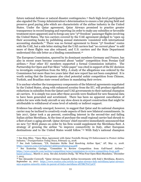future national defense or natural disaster contingencies.[25](#page-13-0) Such high-level participation also signaled the Trump Administration's determination to ensure a fair playing field and preserve good paying jobs which are characteristic of the airline industry in the United States. Under the Qatar agreement, Qatar Airways promised to practice greater transparency in record keeping and reporting (in order to make any subsidies or favorable treatment more apparent) and to forego any new "5th freedom" passenger flights involving the United States. The two carriers covered by the UAE agreement pledged to "open up their accounting books by publishing annual statements 'consistent with international accounting standards.'" There was no formal agreement to freeze "5th freedom" routes with the UAE, but a side letter stating that the UAE carriers had "no current plans" to add more of these flights was also released, and U.S. carriers and the State Department understand this side letter as a binding commitment.[26](#page-13-1)

The European Commission, spurred by its dominant members Germany and France, has also in recent years become concerned about "unfair" competition from Persian Gulf airlines.[27](#page-13-2) Four other EU members supported a formal Commission initiative. The Partnership for Open and Fair Skies' "white paper" was cited in support of the EC decision to investigate competition from the ME3. A study of the allegations was ordered by the Commission but more than two years later that new report has not been completed. It is worth noting that the Europeans also cited potential unfair competition from Chinese, Turkish, and Brazilian state-owned airlines in mandating their review.

It is unclear whether the transparency components of the bilateral agreements negotiated by the United States, along with enhanced scrutiny from the EU, will produce significant reductions in subsidies from the Qatari and UAE governments to their national champion air carriers. It is simply too soon after these accords were finalized for new financial data to have been generated and scrutinized. There has been no apparent cancellation of orders for new wide-body aircraft or any slow-down in airport construction that might be attributable to withdrawal of some level of subsidy or indirect support.

Evidence has already emerged, however, to suggest that Qatar and its national champion carrier may be inclined to creatively evade aspects of their new bilateral commitments. In late 2017, Qatar took a 49 percent, controlling interest in the second-tier and failing Italian airline Meridiana. At the time of purchase the small regional carrier had shrunk to a fleet of just 11 aging aircraft. Qatar Airways' chief executive immediately announced that 20 new 737 MAX planes on order by his firm would supplement the Meridiana fleet. A strategy of growing the airline "to improve connectivity in Italy, other European destinations and to the United States would follow."[28](#page-13-3) With Italy's national champion

l

<span id="page-13-0"></span><sup>25</sup> See Kim Riley, "Open Skies Agreement with Qatar Foretells Strong US Enforcement to Protect Airline Industry," *Transportation Today News,* February 13, 2018.

<span id="page-13-1"></span><sup>26</sup> See Josh Lederman, "US, Emirates Strike Deal Resolving Airline Spat," *AP,* May 11, 2018. <https://apnews.com/e1675afa09074bde9233f95954e44468><br><sup>27</sup> See Ecaterina Casinge. "Committee to Review

<span id="page-13-2"></span><sup>27</sup> See Ecaterina Casinge, "Committee to Review Competition from Gulf-based Airlines." [https://www.euractiv.com/section/competition/news/commission-to-review-competition-from-gulf](https://www.euractiv.com/section/competition/news/commission-to-review-competition-from-gulf-based-airlines/)[based-airlines/,](https://www.euractiv.com/section/competition/news/commission-to-review-competition-from-gulf-based-airlines/) March 17, 2015. See also *Aviation Daily,* "EC Wins Four Open Skies Mandates," December

<span id="page-13-3"></span><sup>7, 2015.</sup> <sup>28</sup> See Alexander Cornwell, "Qatar Airways Expands Airline Investments with Italy's Meridiana, *Reuters,* September 12, 2017. [https://www.reuters.com/article/us-qatar-airways-italy-meridiana/qatar-airways](https://www.reuters.com/article/us-qatar-airways-italy-meridiana/qatar-airways-says-acquires-minority-stake-in-parent-of-italys-meridiana-idUSKCN1C32CC)[says-acquires-minority-stake-in-parent-of-italys-meridiana-idUSKCN1C32CC](https://www.reuters.com/article/us-qatar-airways-italy-meridiana/qatar-airways-says-acquires-minority-stake-in-parent-of-italys-meridiana-idUSKCN1C32CC)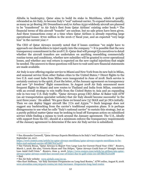Alitalia in bankruptcy, Qatar aims to build its stake in Meridiana, which it quickly rebranded as Air Italy, to become Italy's "real" national carrier. To expand internationally, as many as 30 Boeing 787 Dreamliners and/or Airbus A330 widebody aircraft are planned to be "transferred" to Air Italy's fleet from Qatar Airlines' existing order book.[29](#page-14-0) The financial terms of this aircraft "transfer" are unclear, but no sale prices have been given. And these transactions come at a time when Qatar Airlines is already reporting large operational losses: \$700 million in the 2016-17 fiscal year, and an expected "very large loss" in the current year.<sup>[30](#page-14-1)</sup>

The CEO of Qatar Airways recently noted that if losses continue "we might have to approach our shareholders to inject equity into the company."[31](#page-14-2) It is possible that the new transparency commitment in the 2018 U.S.-Qatar deal will prompt QA executives to detail whether the aircraft transfers are undertaken on anything resembling commercially routine terms and conditions, whether new subsidies will be granted to cover operational losses, and whether any real return is expected on the new capital injections that might be needed. The answers to these questions will have to wait until new financial statements are made available.

Air Italy is now offering regular service to Miami and New York from its new hub in Milan, and seasonal service from other Italian cities to the United States.[32](#page-14-3) Direct flights to the two U.S. east coast hubs from Milan were inaugurated in June of 2018. Such service is certainly contrary to the spirit, if not the letter, of the January agreement on transparency and new "5th freedom" flight connections. In August 2018 Air Italy announced more frequent flights to Miami and new routes to Thailand and India from Milan, consistent with an overall strategy to win traffic from the United States to Asia and an expanding role in two-way U.S.-Italy traffic. "Qatar Airways group CEO Akbar Al Baker told ATW (an air transportation specialist website) that Air Italy should become successful 'in the next three years.' He added: 'We gave them 20 brand new 737 MAX and 30 787s initially. Then we can deploy bigger aircraft like 777s and A350s.'"[33](#page-14-4) Such language does not suggest any backtracking from the carrier's traditional expansion plans. It is perhaps disingenuous to use what he calls "Italy's national carrier" to sustain this strategy, but as a purely political matter Qatar may be seeking to head off European action on subsidized service while finding a means to work around the January agreement. The U.S., ideally with support from the EU, should at a minimum enforce the transparency requirements of the January agreement to determine if the new Air Italy service is subsidized.

<span id="page-14-0"></span><sup>29</sup> See Alexander Cornwell, "Qatar Airways Expects Meridiana to be Italy's 'real' National Carrier." *Reuters,*  September 30, 2017.

[https://www.reuters.com/article/us-qatar-airways-meridiana/qatar-airways-expects-meridiana-to-be-](https://www.reuters.com/article/us-qatar-airways-meridiana/qatar-airways-expects-meridiana-to-be-italys-real-national-carrier-idUSKCN1C50NT)

<span id="page-14-1"></span><sup>&</sup>lt;sup>30</sup> See Victoria Bryan, "Qatar Airways to Report Very Large Loss for Current Fiscal Year: CEO." *Reuters,* March 7, 2018. See also, Victoria Bryan and Tim Helper, "Qatar Airways Could Face 2<sup>nd</sup> Straight Annual Loss Amid Gulf Crisis." *Reuters,* June 4, 2018. [https://www.reuters.com/article/us-airlines-iata-qatar](https://www.reuters.com/article/us-airlines-iata-qatar-airways/qatar-airways-could-face-second-year-of-losses-due-to-gulf-crisis-ceo-idUSKCN1J10D8)[airways/qatar-airways-could-face-second-year-of-losses-due-to-gulf-crisis-ceo-idUSKCN1J10D8](https://www.reuters.com/article/us-airlines-iata-qatar-airways/qatar-airways-could-face-second-year-of-losses-due-to-gulf-crisis-ceo-idUSKCN1J10D8) 31 Ibid.

<span id="page-14-4"></span><span id="page-14-3"></span><span id="page-14-2"></span><sup>32</sup> See Air Italy website: [www.airitaly.com/en-us.](http://www.airitaly.com/en-us) 33See Kurt Hoffman, "Air Italy Increases Frequencies on Long-haul Routes," *ATW online,* August 8, 2018. www.atwonline.com/airports-routes/air-italy-increases -frequencies-long-haul-routes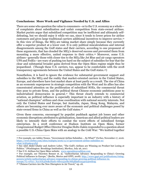#### **Conclusions: More Work and Vigilance Needed by U.S. and Allies**

There are some who question the value to consumers—or to the U.S. economy as a whole of complaints about subsidization and unfair competition from state-owned airlines. Market purists argue that subsidized competition may be inefficient and ultimately selfdefeating, but we should enjoy it while we can, since it tends to lower prices for airline customers and gives large traditional carriers additional incentives to improve service.[34](#page-15-0) In this view of things, the ME3 are taking market share simply because they currently offer a superior product at a lower cost. It is only political miscalculations and internal disagreements among the Gulf states and their carriers, according to one proponent of these arguments, that has clouded the ME3's deserved success and prevented them from mounting a more effective, united response to their critics.[35](#page-15-1) Moreover, some U.S. airlines—generally those with closer ties to the ME3 like Jet Blue and air cargo operators UPS and FedEx—are wary of pushing too hard on the subject of subsidies for fear that the clear and substantial broader gains derived from the Open Skies regime might thus be jeopardized. (Though these U.S. carriers, too, appear to be comfortable with the 2018 transparency agreements between the United States and the Gulf states.[36\)](#page-15-2)

Nonetheless, it is hard to ignore the evidence for substantial government support and subsidies to the ME3 and the reality that market-oriented carriers in the United States, Europe, and elsewhere have lost market share at least partly as a result. The rise of China as an economic superpower in strategic competition with the West and its allies has also concentrated attention on the proliferation of subsidized SOEs, the commercial threat they pose to private firms, and the political threat Chinese economic ambitions pose to industrialized democracies in general.[37](#page-15-3) This threat clearly extends to commercial aviation, as political influence is especially important in an industry with a history of "national champion" airlines and close coordination with national security interests. Not only the United States and Europe, but Australia, Japan, Hong Kong, Malaysia, and others are becoming ever more aware of the economic and political challenges posed by state-owned firms in China as well as the Gulf states.[38](#page-15-4)

Given these concerns, encouraged by populist pushback against job losses and other economic disruptions attributed to globalization, American and allied political leaders are likely to intensify their efforts to combat the worst effects of subsidized foreign enterprises. In a 2018 conference at Hudson Institute on Open Skies, former Congressional Budget Office Director Douglas Holtz-Eakin responded to a question about a possible U.S.-China Open Skies with an analogy to the Cold War: "We knitted together

<span id="page-15-0"></span><sup>34</sup> For example, see Ashley Nunes, "Government Airline Subsidies … So What?" *Forbes,* November 17, 2016. [https://www.forbes.com/sites/realspin/2016/11/17/government-airline-subsidies-so](https://www.forbes.com/sites/realspin/2016/11/17/government-airline-subsidies-so-what/%2358396e411f5f)[what/#58396e411f5f](https://www.forbes.com/sites/realspin/2016/11/17/government-airline-subsidies-so-what/%2358396e411f5f)*.* 

<span id="page-15-1"></span><sup>35</sup> See Adel Abdel Ghafar and Andrew Leber, "The Gulf's Airlines are Winning on Product but Losing at Politics." (Washington: Brookings Institution), *Markaz,* July 26, 2017.

<span id="page-15-2"></span>

<span id="page-15-3"></span><sup>&</sup>lt;sup>37</sup> For example, see Thorsten Benner et. al, "Authoritarian Advance: Responding to China's Growing Political Influence in Europe," (Berlin, Merics and GPPI, 2018). [http://www.gppi.net/publications/rising](http://www.gppi.net/publications/rising-powers/article/authoritarian-advance-responding-to-chinas-growing-political-influence-in-europe/?L=0%27..%27A%3D0&cHash=6fe0152c8a7683fd9de1a340240edc95)[powers/article/authoritarian-advance-responding-to-chinas-growing-political-influence-in](http://www.gppi.net/publications/rising-powers/article/authoritarian-advance-responding-to-chinas-growing-political-influence-in-europe/?L=0%27..%27A%3D0&cHash=6fe0152c8a7683fd9de1a340240edc95)[europe/?L=0%27..%27A%3D0&cHash=6fe0152c8a7683fd9de1a340240edc95](http://www.gppi.net/publications/rising-powers/article/authoritarian-advance-responding-to-chinas-growing-political-influence-in-europe/?L=0%27..%27A%3D0&cHash=6fe0152c8a7683fd9de1a340240edc95)

<span id="page-15-4"></span><sup>38 &</sup>quot;Chinese Carriers Are the New Disrupters in Air Travel," op. cit.